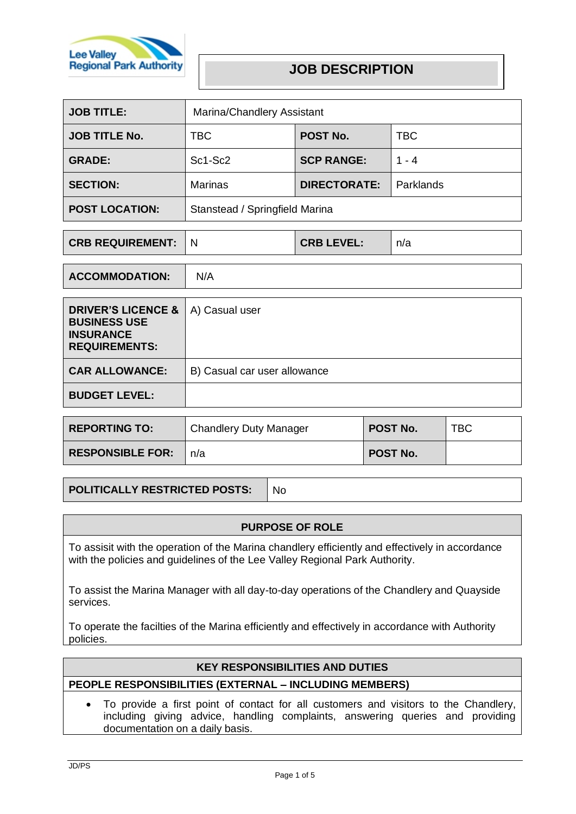

# **JOB DESCRIPTION**

| <b>JOB TITLE:</b>     | Marina/Chandlery Assistant     |                     |            |
|-----------------------|--------------------------------|---------------------|------------|
| <b>JOB TITLE No.</b>  | <b>TBC</b>                     | POST No.            | <b>TBC</b> |
| <b>GRADE:</b>         | Sc1-Sc2                        | <b>SCP RANGE:</b>   | $1 - 4$    |
| <b>SECTION:</b>       | <b>Marinas</b>                 | <b>DIRECTORATE:</b> | Parklands  |
| <b>POST LOCATION:</b> | Stanstead / Springfield Marina |                     |            |

| <b>CRB REQUIREMENT:</b> |  | <b>CRB LEVEL:</b> | n/a |
|-------------------------|--|-------------------|-----|
|-------------------------|--|-------------------|-----|

| <b>ACCOMMODATION:</b>                                                                            | N/A                          |
|--------------------------------------------------------------------------------------------------|------------------------------|
|                                                                                                  |                              |
| <b>DRIVER'S LICENCE &amp;</b><br><b>BUSINESS USE</b><br><b>INSURANCE</b><br><b>REQUIREMENTS:</b> | A) Casual user               |
| <b>CAR ALLOWANCE:</b>                                                                            | B) Casual car user allowance |
| <b>BUDGET LEVEL:</b>                                                                             |                              |
|                                                                                                  |                              |

| <b>REPORTING TO:</b>    | <b>Chandlery Duty Manager</b> | <b>POST No.</b> | TBC |
|-------------------------|-------------------------------|-----------------|-----|
| <b>RESPONSIBLE FOR:</b> | n/a                           | POST No.        |     |

**POLITICALLY RESTRICTED POSTS:** No

## **PURPOSE OF ROLE**

To assisit with the operation of the Marina chandlery efficiently and effectively in accordance with the policies and guidelines of the Lee Valley Regional Park Authority.

To assist the Marina Manager with all day-to-day operations of the Chandlery and Quayside services.

To operate the facilties of the Marina efficiently and effectively in accordance with Authority policies.

## **KEY RESPONSIBILITIES AND DUTIES**

# **PEOPLE RESPONSIBILITIES (EXTERNAL – INCLUDING MEMBERS)**

• To provide a first point of contact for all customers and visitors to the Chandlery, including giving advice, handling complaints, answering queries and providing documentation on a daily basis.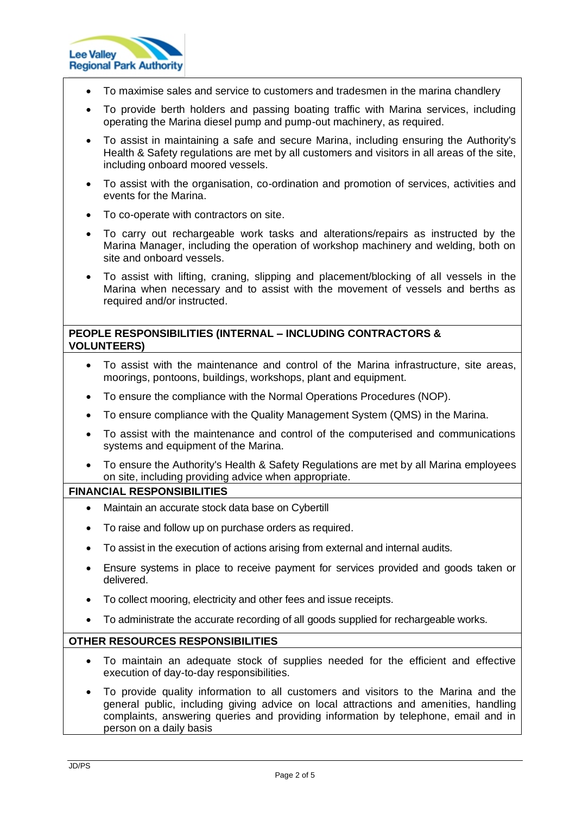

- To maximise sales and service to customers and tradesmen in the marina chandlery
- To provide berth holders and passing boating traffic with Marina services, including operating the Marina diesel pump and pump-out machinery, as required.
- To assist in maintaining a safe and secure Marina, including ensuring the Authority's Health & Safety regulations are met by all customers and visitors in all areas of the site, including onboard moored vessels.
- To assist with the organisation, co-ordination and promotion of services, activities and events for the Marina.
- To co-operate with contractors on site.
- To carry out rechargeable work tasks and alterations/repairs as instructed by the Marina Manager, including the operation of workshop machinery and welding, both on site and onboard vessels.
- To assist with lifting, craning, slipping and placement/blocking of all vessels in the Marina when necessary and to assist with the movement of vessels and berths as required and/or instructed.

## **PEOPLE RESPONSIBILITIES (INTERNAL – INCLUDING CONTRACTORS & VOLUNTEERS)**

- To assist with the maintenance and control of the Marina infrastructure, site areas, moorings, pontoons, buildings, workshops, plant and equipment.
- To ensure the compliance with the Normal Operations Procedures (NOP).
- To ensure compliance with the Quality Management System (QMS) in the Marina.
- To assist with the maintenance and control of the computerised and communications systems and equipment of the Marina.
- To ensure the Authority's Health & Safety Regulations are met by all Marina employees on site, including providing advice when appropriate.

#### **FINANCIAL RESPONSIBILITIES**

- Maintain an accurate stock data base on Cybertill
- To raise and follow up on purchase orders as required.
- To assist in the execution of actions arising from external and internal audits.
- Ensure systems in place to receive payment for services provided and goods taken or delivered.
- To collect mooring, electricity and other fees and issue receipts.
- To administrate the accurate recording of all goods supplied for rechargeable works.

## **OTHER RESOURCES RESPONSIBILITIES**

- To maintain an adequate stock of supplies needed for the efficient and effective execution of day-to-day responsibilities.
- To provide quality information to all customers and visitors to the Marina and the general public, including giving advice on local attractions and amenities, handling complaints, answering queries and providing information by telephone, email and in person on a daily basis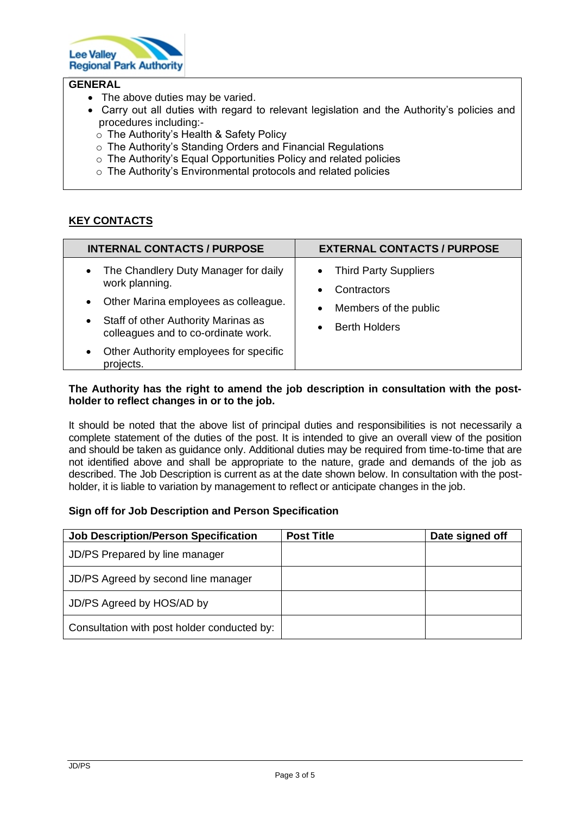

# **GENERAL**

- The above duties may be varied.
- Carry out all duties with regard to relevant legislation and the Authority's policies and procedures including:
	- o The Authority's Health & Safety Policy
	- o The Authority's Standing Orders and Financial Regulations
	- o The Authority's Equal Opportunities Policy and related policies
	- o The Authority's Environmental protocols and related policies

# **KEY CONTACTS**

| <b>INTERNAL CONTACTS / PURPOSE</b>                                                                                                                                                                                                                                                      | <b>EXTERNAL CONTACTS / PURPOSE</b>                                                                                                               |
|-----------------------------------------------------------------------------------------------------------------------------------------------------------------------------------------------------------------------------------------------------------------------------------------|--------------------------------------------------------------------------------------------------------------------------------------------------|
| The Chandlery Duty Manager for daily<br>$\bullet$<br>work planning.<br>Other Marina employees as colleague.<br>$\bullet$<br>Staff of other Authority Marinas as<br>$\bullet$<br>colleagues and to co-ordinate work.<br>Other Authority employees for specific<br>$\bullet$<br>projects. | <b>Third Party Suppliers</b><br>$\bullet$<br>Contractors<br>$\bullet$<br>Members of the public<br>$\bullet$<br><b>Berth Holders</b><br>$\bullet$ |

#### **The Authority has the right to amend the job description in consultation with the postholder to reflect changes in or to the job.**

It should be noted that the above list of principal duties and responsibilities is not necessarily a complete statement of the duties of the post. It is intended to give an overall view of the position and should be taken as guidance only. Additional duties may be required from time-to-time that are not identified above and shall be appropriate to the nature, grade and demands of the job as described. The Job Description is current as at the date shown below. In consultation with the postholder, it is liable to variation by management to reflect or anticipate changes in the job.

#### **Sign off for Job Description and Person Specification**

| <b>Job Description/Person Specification</b> | <b>Post Title</b> | Date signed off |
|---------------------------------------------|-------------------|-----------------|
| JD/PS Prepared by line manager              |                   |                 |
| JD/PS Agreed by second line manager         |                   |                 |
| JD/PS Agreed by HOS/AD by                   |                   |                 |
| Consultation with post holder conducted by: |                   |                 |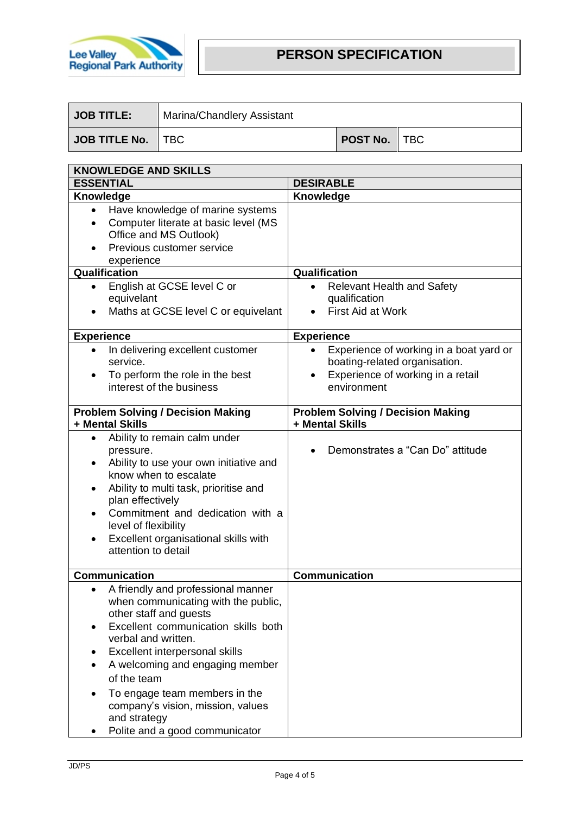

| JOB TITLE:          | Marina/Chandlery Assistant |                     |  |
|---------------------|----------------------------|---------------------|--|
| JOB TITLE No.   TBC |                            | <b>POST No.</b> TBC |  |

| <b>KNOWLEDGE AND SKILLS</b>                                                                                                                                                                                                                                                                                                                                                                             |                                                                                                                                                        |  |
|---------------------------------------------------------------------------------------------------------------------------------------------------------------------------------------------------------------------------------------------------------------------------------------------------------------------------------------------------------------------------------------------------------|--------------------------------------------------------------------------------------------------------------------------------------------------------|--|
| <b>ESSENTIAL</b>                                                                                                                                                                                                                                                                                                                                                                                        | <b>DESIRABLE</b>                                                                                                                                       |  |
| Knowledge                                                                                                                                                                                                                                                                                                                                                                                               | Knowledge                                                                                                                                              |  |
| Have knowledge of marine systems<br>$\bullet$<br>Computer literate at basic level (MS<br>$\bullet$<br>Office and MS Outlook)<br>Previous customer service<br>experience                                                                                                                                                                                                                                 |                                                                                                                                                        |  |
| Qualification                                                                                                                                                                                                                                                                                                                                                                                           | Qualification                                                                                                                                          |  |
| English at GCSE level C or<br>equivelant<br>Maths at GCSE level C or equivelant                                                                                                                                                                                                                                                                                                                         | <b>Relevant Health and Safety</b><br>qualification<br><b>First Aid at Work</b>                                                                         |  |
| <b>Experience</b>                                                                                                                                                                                                                                                                                                                                                                                       | <b>Experience</b>                                                                                                                                      |  |
| In delivering excellent customer<br>$\bullet$<br>service.<br>To perform the role in the best<br>interest of the business                                                                                                                                                                                                                                                                                | Experience of working in a boat yard or<br>$\bullet$<br>boating-related organisation.<br>Experience of working in a retail<br>$\bullet$<br>environment |  |
| <b>Problem Solving / Decision Making</b><br>+ Mental Skills                                                                                                                                                                                                                                                                                                                                             | <b>Problem Solving / Decision Making</b><br>+ Mental Skills                                                                                            |  |
| Ability to remain calm under<br>٠<br>pressure.<br>Ability to use your own initiative and<br>know when to escalate<br>Ability to multi task, prioritise and<br>plan effectively<br>Commitment and dedication with a<br>level of flexibility<br>Excellent organisational skills with<br>attention to detail                                                                                               | Demonstrates a "Can Do" attitude                                                                                                                       |  |
| <b>Communication</b>                                                                                                                                                                                                                                                                                                                                                                                    | Communication                                                                                                                                          |  |
| A friendly and professional manner<br>$\bullet$<br>when communicating with the public,<br>other staff and guests<br>Excellent communication skills both<br>$\bullet$<br>verbal and written.<br>Excellent interpersonal skills<br>A welcoming and engaging member<br>of the team<br>To engage team members in the<br>company's vision, mission, values<br>and strategy<br>Polite and a good communicator |                                                                                                                                                        |  |